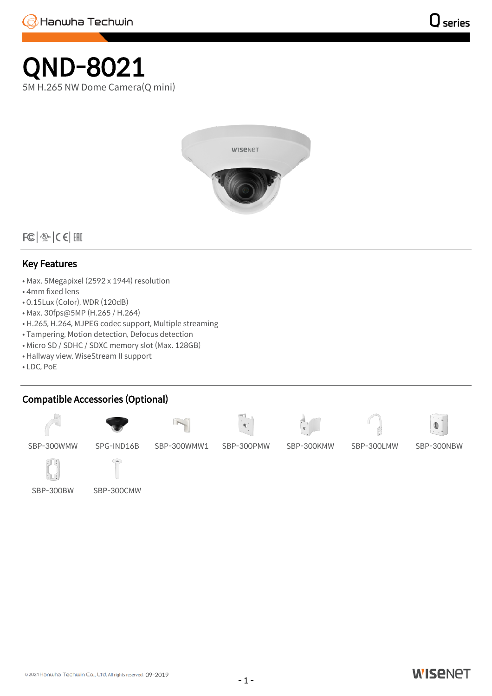## QND-8021 5M H.265 NW Dome Camera(Q mini)



 $|FC|$   $\frac{1}{2}$   $C$   $C$   $|CHI|$ 

## Key Features

- Max. 5Megapixel (2592 x 1944) resolution
- 4mm fixed lens
- 0.15Lux (Color), WDR (120dB)
- Max. 30fps@5MP (H.265 / H.264)
- H.265, H.264, MJPEG codec support, Multiple streaming
- Tampering, Motion detection, Defocus detection
- Micro SD / SDHC / SDXC memory slot (Max. 128GB)
- Hallway view, WiseStream II support
- LDC, PoE

## Compatible Accessories (Optional)















SBP-300WMW SPG-IND16B SBP-300WMW1 SBP-300PMW SBP-300KMW SBP-300LMW SBP-300NBW



SBP-300BW SBP-300CMW

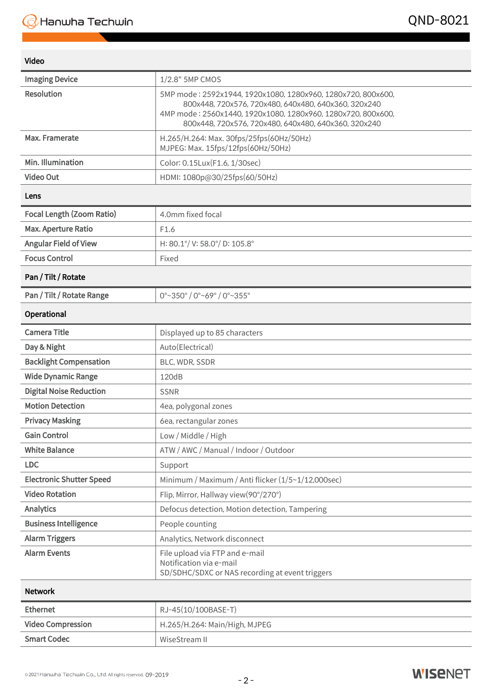| Video |  |
|-------|--|

| <b>Video</b>                     |                                                                                                                                                                                                                                              |
|----------------------------------|----------------------------------------------------------------------------------------------------------------------------------------------------------------------------------------------------------------------------------------------|
| <b>Imaging Device</b>            | 1/2.8" 5MP CMOS                                                                                                                                                                                                                              |
| <b>Resolution</b>                | 5MP mode: 2592x1944, 1920x1080, 1280x960, 1280x720, 800x600,<br>800x448, 720x576, 720x480, 640x480, 640x360, 320x240<br>4MP mode: 2560x1440, 1920x1080, 1280x960, 1280x720, 800x600,<br>800x448, 720x576, 720x480, 640x480, 640x360, 320x240 |
| Max. Framerate                   | H.265/H.264: Max. 30fps/25fps(60Hz/50Hz)<br>MJPEG: Max. 15fps/12fps(60Hz/50Hz)                                                                                                                                                               |
| Min. Illumination                | Color: 0.15Lux(F1.6, 1/30sec)                                                                                                                                                                                                                |
| <b>Video Out</b>                 | HDMI: 1080p@30/25fps(60/50Hz)                                                                                                                                                                                                                |
| Lens                             |                                                                                                                                                                                                                                              |
| <b>Focal Length (Zoom Ratio)</b> | 4.0mm fixed focal                                                                                                                                                                                                                            |
| Max. Aperture Ratio              | F1.6                                                                                                                                                                                                                                         |
| <b>Angular Field of View</b>     | H: 80.1°/ V: 58.0°/ D: 105.8°                                                                                                                                                                                                                |
| <b>Focus Control</b>             | Fixed                                                                                                                                                                                                                                        |
| Pan / Tilt / Rotate              |                                                                                                                                                                                                                                              |
| Pan / Tilt / Rotate Range        | 0°~350° / 0°~69° / 0°~355°                                                                                                                                                                                                                   |
| Operational                      |                                                                                                                                                                                                                                              |
| <b>Camera Title</b>              | Displayed up to 85 characters                                                                                                                                                                                                                |
| Day & Night                      | Auto(Electrical)                                                                                                                                                                                                                             |
| <b>Backlight Compensation</b>    | BLC, WDR, SSDR                                                                                                                                                                                                                               |
| <b>Wide Dynamic Range</b>        | 120dB                                                                                                                                                                                                                                        |
| <b>Digital Noise Reduction</b>   | <b>SSNR</b>                                                                                                                                                                                                                                  |
| <b>Motion Detection</b>          | 4ea, polygonal zones                                                                                                                                                                                                                         |
| <b>Privacy Masking</b>           | 6ea, rectangular zones                                                                                                                                                                                                                       |
| <b>Gain Control</b>              | Low / Middle / High                                                                                                                                                                                                                          |
| <b>White Balance</b>             | ATW / AWC / Manual / Indoor / Outdoor                                                                                                                                                                                                        |
| <b>LDC</b>                       | Support                                                                                                                                                                                                                                      |
| <b>Electronic Shutter Speed</b>  | Minimum / Maximum / Anti flicker (1/5~1/12,000sec)                                                                                                                                                                                           |
| <b>Video Rotation</b>            | Flip, Mirror, Hallway view(90°/270°)                                                                                                                                                                                                         |
| <b>Analytics</b>                 | Defocus detection, Motion detection, Tampering                                                                                                                                                                                               |
| <b>Business Intelligence</b>     | People counting                                                                                                                                                                                                                              |
| <b>Alarm Triggers</b>            | Analytics, Network disconnect                                                                                                                                                                                                                |
| <b>Alarm Events</b>              | File upload via FTP and e-mail<br>Notification via e-mail<br>SD/SDHC/SDXC or NAS recording at event triggers                                                                                                                                 |
| <b>Network</b>                   |                                                                                                                                                                                                                                              |
| <b>Ethernet</b>                  | RJ-45(10/100BASE-T)                                                                                                                                                                                                                          |
| <b>Video Compression</b>         | H.265/H.264: Main/High, MJPEG                                                                                                                                                                                                                |

Smart Codec WiseStream II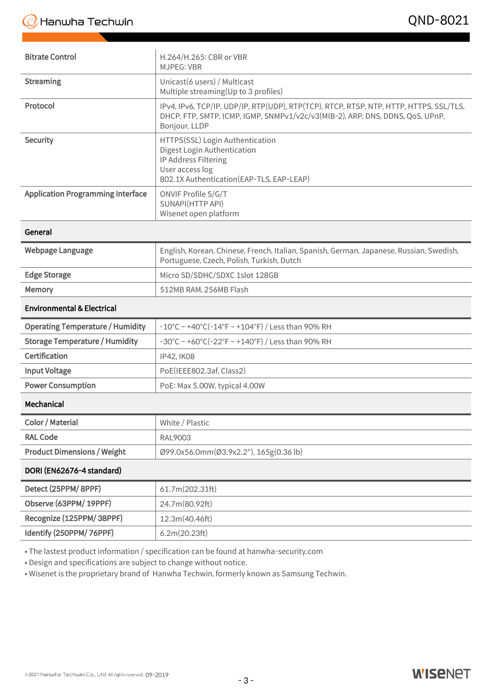| <b>Bitrate Control</b>                   | H.264/H.265: CBR or VBR<br><b>MJPEG: VBR</b>                                                                                                                                             |
|------------------------------------------|------------------------------------------------------------------------------------------------------------------------------------------------------------------------------------------|
| <b>Streaming</b>                         | Unicast(6 users) / Multicast<br>Multiple streaming(Up to 3 profiles)                                                                                                                     |
| Protocol                                 | IPv4, IPv6, TCP/IP, UDP/IP, RTP(UDP), RTP(TCP), RTCP, RTSP, NTP, HTTP, HTTPS, SSL/TLS,<br>DHCP, FTP, SMTP, ICMP, IGMP, SNMPv1/v2c/v3(MIB-2), ARP, DNS, DDNS, QoS, UPnP,<br>Bonjour, LLDP |
| Security                                 | HTTPS(SSL) Login Authentication<br>Digest Login Authentication<br>IP Address Filtering<br>User access log<br>802.1X Authentication(EAP-TLS, EAP-LEAP)                                    |
| <b>Application Programming Interface</b> | ONVIF Profile S/G/T<br>SUNAPI(HTTP API)<br>Wisenet open platform                                                                                                                         |
| General                                  |                                                                                                                                                                                          |
| Webpage Language                         | English, Korean, Chinese, French, Italian, Spanish, German, Japanese, Russian, Swedish,<br>Portuguese, Czech, Polish, Turkish, Dutch                                                     |
| <b>Edge Storage</b>                      | Micro SD/SDHC/SDXC 1slot 128GB                                                                                                                                                           |
| Memory                                   | 512MB RAM, 256MB Flash                                                                                                                                                                   |
| <b>Environmental &amp; Electrical</b>    |                                                                                                                                                                                          |
| <b>Operating Temperature / Humidity</b>  | $-10^{\circ}$ C ~ +40 $^{\circ}$ C(-14 $^{\circ}$ F ~ +104 $^{\circ}$ F) / Less than 90% RH                                                                                              |
| <b>Storage Temperature / Humidity</b>    | $-30^{\circ}$ C ~ +60 $^{\circ}$ C(-22 $^{\circ}$ F ~ +140 $^{\circ}$ F) / Less than 90% RH                                                                                              |
| Certification                            | IP42, IK08                                                                                                                                                                               |
| <b>Input Voltage</b>                     | PoE(IEEE802.3af, Class2)                                                                                                                                                                 |
| <b>Power Consumption</b>                 | PoE: Max 5.00W, typical 4.00W                                                                                                                                                            |
| Mechanical                               |                                                                                                                                                                                          |
| Color / Material                         | White / Plastic                                                                                                                                                                          |
| <b>RAL Code</b>                          | RAL9003                                                                                                                                                                                  |
| <b>Product Dimensions / Weight</b>       | Ø99.0x56.0mm(Ø3.9x2.2"), 165g(0.36 lb)                                                                                                                                                   |
| DORI (EN62676-4 standard)                |                                                                                                                                                                                          |
| Detect (25PPM/8PPF)                      | 61.7m(202.31ft)                                                                                                                                                                          |
| Observe (63PPM/19PPF)                    | 24.7m(80.92ft)                                                                                                                                                                           |
| Recognize (125PPM/38PPF)                 | 12.3m(40.46ft)                                                                                                                                                                           |
| Identify (250PPM/ 76PPF)                 | 6.2m(20.23ft)                                                                                                                                                                            |

• The lastest product information / specification can be found at hanwha-security.com

• Design and specifications are subject to change without notice.

• Wisenet is the proprietary brand of Hanwha Techwin, formerly known as Samsung Techwin.